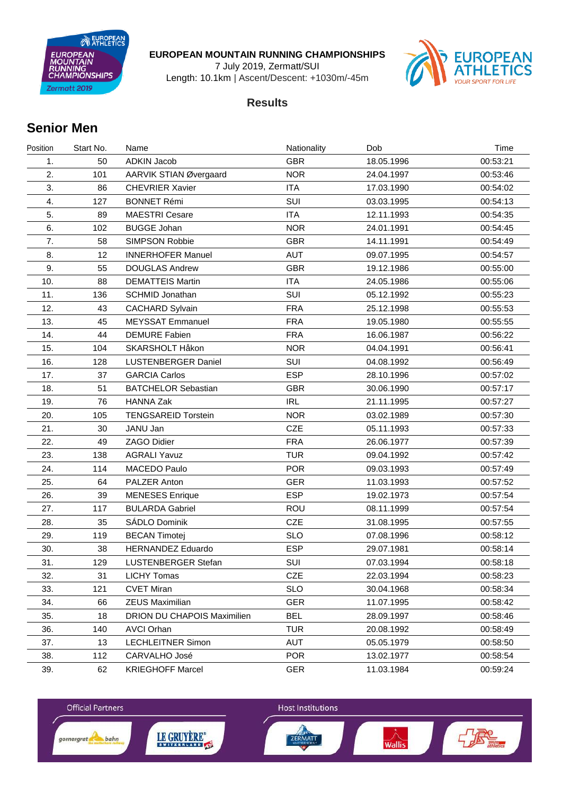EUROPEAN **EUROPEAN**<br>MOUNTAIN ING<br>PIONSHIPS Zermatt 2019

#### **EUROPEAN MOUNTAIN RUNNING CHAMPIONSHIPS**

7 July 2019, Zermatt/SUI

Length: 10.1km | Ascent/Descent: +1030m/-45m



### **Results**

## **Senior Men**

| Position | Start No. | Name                        | Nationality | Dob        | Time     |
|----------|-----------|-----------------------------|-------------|------------|----------|
| 1.       | 50        | <b>ADKIN Jacob</b>          | <b>GBR</b>  | 18.05.1996 | 00:53:21 |
| 2.       | 101       | AARVIK STIAN Øvergaard      | <b>NOR</b>  | 24.04.1997 | 00:53:46 |
| 3.       | 86        | <b>CHEVRIER Xavier</b>      | <b>ITA</b>  | 17.03.1990 | 00:54:02 |
| 4.       | 127       | <b>BONNET Rémi</b>          | SUI         | 03.03.1995 | 00:54:13 |
| 5.       | 89        | <b>MAESTRI Cesare</b>       | <b>ITA</b>  | 12.11.1993 | 00:54:35 |
| 6.       | 102       | <b>BUGGE Johan</b>          | <b>NOR</b>  | 24.01.1991 | 00:54:45 |
| 7.       | 58        | <b>SIMPSON Robbie</b>       | <b>GBR</b>  | 14.11.1991 | 00:54:49 |
| 8.       | 12        | <b>INNERHOFER Manuel</b>    | <b>AUT</b>  | 09.07.1995 | 00:54:57 |
| 9.       | 55        | <b>DOUGLAS Andrew</b>       | <b>GBR</b>  | 19.12.1986 | 00:55:00 |
| 10.      | 88        | <b>DEMATTEIS Martin</b>     | <b>ITA</b>  | 24.05.1986 | 00:55:06 |
| 11.      | 136       | SCHMID Jonathan             | SUI         | 05.12.1992 | 00:55:23 |
| 12.      | 43        | <b>CACHARD Sylvain</b>      | <b>FRA</b>  | 25.12.1998 | 00:55:53 |
| 13.      | 45        | <b>MEYSSAT Emmanuel</b>     | <b>FRA</b>  | 19.05.1980 | 00:55:55 |
| 14.      | 44        | <b>DEMURE Fabien</b>        | <b>FRA</b>  | 16.06.1987 | 00:56:22 |
| 15.      | 104       | SKARSHOLT Håkon             | <b>NOR</b>  | 04.04.1991 | 00:56:41 |
| 16.      | 128       | <b>LUSTENBERGER Daniel</b>  | SUI         | 04.08.1992 | 00:56:49 |
| 17.      | 37        | <b>GARCIA Carlos</b>        | <b>ESP</b>  | 28.10.1996 | 00:57:02 |
| 18.      | 51        | <b>BATCHELOR Sebastian</b>  | <b>GBR</b>  | 30.06.1990 | 00:57:17 |
| 19.      | 76        | <b>HANNA Zak</b>            | <b>IRL</b>  | 21.11.1995 | 00:57:27 |
| 20.      | 105       | <b>TENGSAREID Torstein</b>  | <b>NOR</b>  | 03.02.1989 | 00:57:30 |
| 21.      | 30        | JANU Jan                    | <b>CZE</b>  | 05.11.1993 | 00:57:33 |
| 22.      | 49        | ZAGO Didier                 | <b>FRA</b>  | 26.06.1977 | 00:57:39 |
| 23.      | 138       | <b>AGRALI Yavuz</b>         | <b>TUR</b>  | 09.04.1992 | 00:57:42 |
| 24.      | 114       | MACEDO Paulo                | <b>POR</b>  | 09.03.1993 | 00:57:49 |
| 25.      | 64        | PALZER Anton                | <b>GER</b>  | 11.03.1993 | 00:57:52 |
| 26.      | 39        | <b>MENESES</b> Enrique      | <b>ESP</b>  | 19.02.1973 | 00:57:54 |
| 27.      | 117       | <b>BULARDA Gabriel</b>      | <b>ROU</b>  | 08.11.1999 | 00:57:54 |
| 28.      | 35        | SADLO Dominik               | <b>CZE</b>  | 31.08.1995 | 00:57:55 |
| 29.      | 119       | <b>BECAN Timotej</b>        | <b>SLO</b>  | 07.08.1996 | 00:58:12 |
| 30.      | 38        | <b>HERNANDEZ Eduardo</b>    | <b>ESP</b>  | 29.07.1981 | 00:58:14 |
| 31.      | 129       | <b>LUSTENBERGER Stefan</b>  | SUI         | 07.03.1994 | 00:58:18 |
| 32.      | 31        | <b>LICHY Tomas</b>          | CZE         | 22.03.1994 | 00:58:23 |
| 33.      | 121       | <b>CVET Miran</b>           | <b>SLO</b>  | 30.04.1968 | 00:58:34 |
| 34.      | 66        | <b>ZEUS Maximilian</b>      | <b>GER</b>  | 11.07.1995 | 00:58:42 |
| 35.      | 18        | DRION DU CHAPOIS Maximilien | <b>BEL</b>  | 28.09.1997 | 00:58:46 |
| 36.      | 140       | <b>AVCI Orhan</b>           | <b>TUR</b>  | 20.08.1992 | 00:58:49 |
| 37.      | 13        | <b>LECHLEITNER Simon</b>    | AUT         | 05.05.1979 | 00:58:50 |
| 38.      | 112       | CARVALHO José               | <b>POR</b>  | 13.02.1977 | 00:58:54 |
| 39.      | 62        | <b>KRIEGHOFF Marcel</b>     | <b>GER</b>  | 11.03.1984 | 00:59:24 |

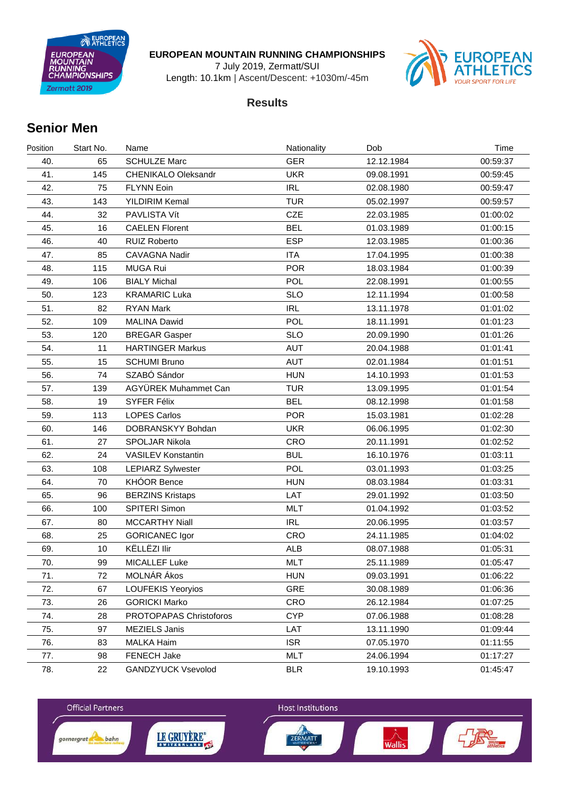EUROPEAN **EUROPEAN**<br>MOUNTAIN ING<br>PIONSHIPS Zermatt 2019

#### **EUROPEAN MOUNTAIN RUNNING CHAMPIONSHIPS**

7 July 2019, Zermatt/SUI

Length: 10.1km | Ascent/Descent: +1030m/-45m



### **Results**

## **Senior Men**

| Position | Start No. | Name                       | Nationality | Dob        | Time     |
|----------|-----------|----------------------------|-------------|------------|----------|
| 40.      | 65        | <b>SCHULZE Marc</b>        | <b>GER</b>  | 12.12.1984 | 00:59:37 |
| 41.      | 145       | <b>CHENIKALO Oleksandr</b> | <b>UKR</b>  | 09.08.1991 | 00:59:45 |
| 42.      | 75        | <b>FLYNN Eoin</b>          | <b>IRL</b>  | 02.08.1980 | 00:59:47 |
| 43.      | 143       | YILDIRIM Kemal             | <b>TUR</b>  | 05.02.1997 | 00:59:57 |
| 44.      | 32        | PAVLISTA Vít               | <b>CZE</b>  | 22.03.1985 | 01:00:02 |
| 45.      | 16        | <b>CAELEN Florent</b>      | <b>BEL</b>  | 01.03.1989 | 01:00:15 |
| 46.      | 40        | <b>RUIZ Roberto</b>        | <b>ESP</b>  | 12.03.1985 | 01:00:36 |
| 47.      | 85        | CAVAGNA Nadir              | <b>ITA</b>  | 17.04.1995 | 01:00:38 |
| 48.      | 115       | <b>MUGA Rui</b>            | <b>POR</b>  | 18.03.1984 | 01:00:39 |
| 49.      | 106       | <b>BIALY Michal</b>        | <b>POL</b>  | 22.08.1991 | 01:00:55 |
| 50.      | 123       | <b>KRAMARIC Luka</b>       | <b>SLO</b>  | 12.11.1994 | 01:00:58 |
| 51.      | 82        | <b>RYAN Mark</b>           | <b>IRL</b>  | 13.11.1978 | 01:01:02 |
| 52.      | 109       | <b>MALINA Dawid</b>        | POL         | 18.11.1991 | 01:01:23 |
| 53.      | 120       | <b>BREGAR Gasper</b>       | <b>SLO</b>  | 20.09.1990 | 01:01:26 |
| 54.      | 11        | <b>HARTINGER Markus</b>    | <b>AUT</b>  | 20.04.1988 | 01:01:41 |
| 55.      | 15        | <b>SCHUMI Bruno</b>        | <b>AUT</b>  | 02.01.1984 | 01:01:51 |
| 56.      | 74        | SZABÓ Sándor               | <b>HUN</b>  | 14.10.1993 | 01:01:53 |
| 57.      | 139       | AGYÜREK Muhammet Can       | <b>TUR</b>  | 13.09.1995 | 01:01:54 |
| 58.      | 19        | <b>SYFER Félix</b>         | <b>BEL</b>  | 08.12.1998 | 01:01:58 |
| 59.      | 113       | <b>LOPES Carlos</b>        | <b>POR</b>  | 15.03.1981 | 01:02:28 |
| 60.      | 146       | DOBRANSKYY Bohdan          | <b>UKR</b>  | 06.06.1995 | 01:02:30 |
| 61.      | 27        | SPOLJAR Nikola             | CRO         | 20.11.1991 | 01:02:52 |
| 62.      | 24        | <b>VASILEV Konstantin</b>  | <b>BUL</b>  | 16.10.1976 | 01:03:11 |
| 63.      | 108       | <b>LEPIARZ Sylwester</b>   | POL         | 03.01.1993 | 01:03:25 |
| 64.      | 70        | <b>KHÓOR Bence</b>         | <b>HUN</b>  | 08.03.1984 | 01:03:31 |
| 65.      | 96        | <b>BERZINS Kristaps</b>    | LAT         | 29.01.1992 | 01:03:50 |
| 66.      | 100       | SPITERI Simon              | <b>MLT</b>  | 01.04.1992 | 01:03:52 |
| 67.      | 80        | <b>MCCARTHY Niall</b>      | <b>IRL</b>  | 20.06.1995 | 01:03:57 |
| 68.      | 25        | <b>GORICANEC Igor</b>      | <b>CRO</b>  | 24.11.1985 | 01:04:02 |
| 69.      | 10        | KËLLËZI Ilir               | <b>ALB</b>  | 08.07.1988 | 01:05:31 |
| 70.      | 99        | <b>MICALLEF Luke</b>       | <b>MLT</b>  | 25.11.1989 | 01:05:47 |
| 71.      | 72        | MOLNÁR Ákos                | <b>HUN</b>  | 09.03.1991 | 01:06:22 |
| 72.      | 67        | <b>LOUFEKIS Yeoryios</b>   | GRE         | 30.08.1989 | 01:06:36 |
| 73.      | 26        | <b>GORICKI Marko</b>       | CRO         | 26.12.1984 | 01:07:25 |
| 74.      | 28        | PROTOPAPAS Christoforos    | <b>CYP</b>  | 07.06.1988 | 01:08:28 |
| 75.      | 97        | MEZIELS Janis              | LAT         | 13.11.1990 | 01:09:44 |
| 76.      | 83        | <b>MALKA Haim</b>          | <b>ISR</b>  | 07.05.1970 | 01:11:55 |
| 77.      | 98        | FENECH Jake                | <b>MLT</b>  | 24.06.1994 | 01:17:27 |
| 78.      | 22        | <b>GANDZYUCK Vsevolod</b>  | <b>BLR</b>  | 19.10.1993 | 01:45:47 |